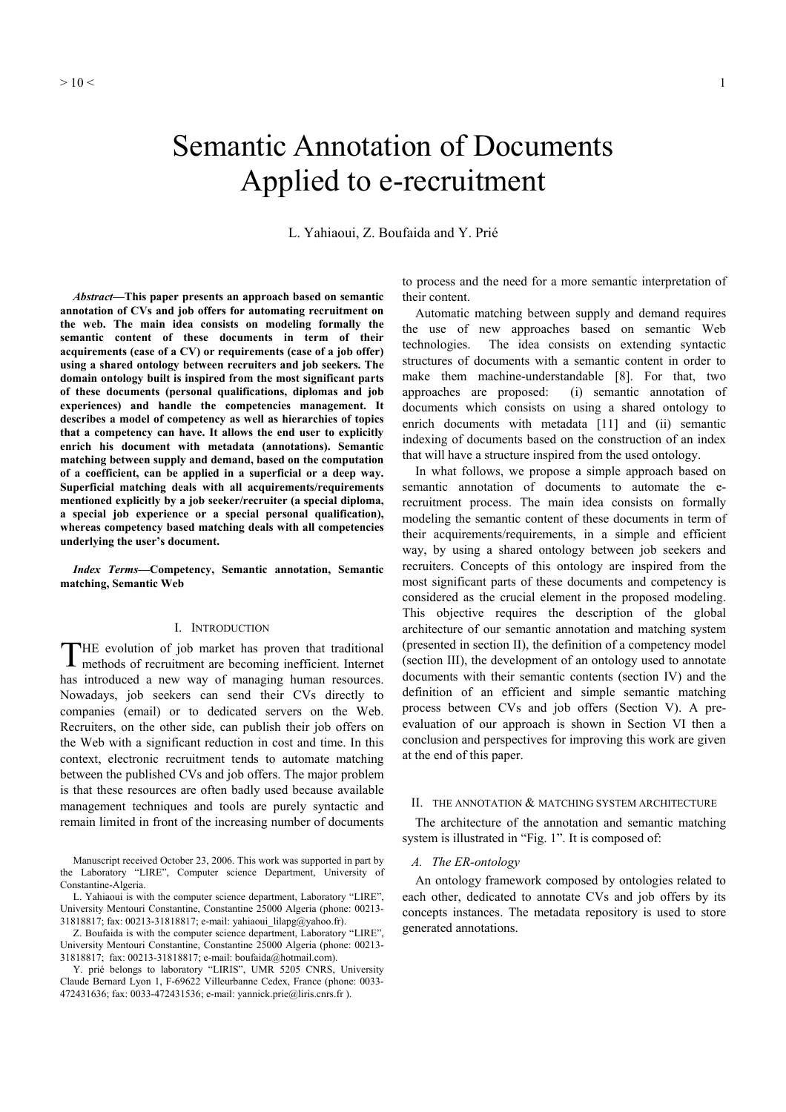# Semantic Annotation of Documents Applied to e-recruitment

L. Yahiaoui, Z. Boufaida and Y. Prié

*Abstract***—This paper presents an approach based on semantic annotation of CVs and job offers for automating recruitment on the web. The main idea consists on modeling formally the semantic content of these documents in term of their acquirements (case of a CV) or requirements (case of a job offer) using a shared ontology between recruiters and job seekers. The domain ontology built is inspired from the most significant parts of these documents (personal qualifications, diplomas and job experiences) and handle the competencies management. It describes a model of competency as well as hierarchies of topics that a competency can have. It allows the end user to explicitly enrich his document with metadata (annotations). Semantic matching between supply and demand, based on the computation of a coefficient, can be applied in a superficial or a deep way. Superficial matching deals with all acquirements/requirements mentioned explicitly by a job seeker/recruiter (a special diploma, a special job experience or a special personal qualification), whereas competency based matching deals with all competencies underlying the user's document.** 

*Index Terms***—Competency, Semantic annotation, Semantic matching, Semantic Web** 

## I. INTRODUCTION

THE evolution of job market has proven that traditional methods of recruitment are becoming inefficient. Internet methods of recruitment are becoming inefficient. Internet has introduced a new way of managing human resources. Nowadays, job seekers can send their CVs directly to companies (email) or to dedicated servers on the Web. Recruiters, on the other side, can publish their job offers on the Web with a significant reduction in cost and time. In this context, electronic recruitment tends to automate matching between the published CVs and job offers. The major problem is that these resources are often badly used because available management techniques and tools are purely syntactic and remain limited in front of the increasing number of documents

Manuscript received October 23, 2006. This work was supported in part by the Laboratory "LIRE", Computer science Department, University of Constantine-Algeria.

L. Yahiaoui is with the computer science department, Laboratory "LIRE", University Mentouri Constantine, Constantine 25000 Algeria (phone: 00213- 31818817; fax: 00213-31818817; e-mail: yahiaoui\_lilapg@yahoo.fr).

Z. Boufaida is with the computer science department, Laboratory "LIRE", University Mentouri Constantine, Constantine 25000 Algeria (phone: 00213- 31818817; fax: 00213-31818817; e-mail: boufaida@hotmail.com).

Y. prié belongs to laboratory "LIRIS", UMR 5205 CNRS, University Claude Bernard Lyon 1, F-69622 Villeurbanne Cedex, France (phone: 0033- 472431636; fax: 0033-472431536; e-mail: yannick.prie@liris.cnrs.fr ).

to process and the need for a more semantic interpretation of their content.

Automatic matching between supply and demand requires the use of new approaches based on semantic Web technologies. The idea consists on extending syntactic structures of documents with a semantic content in order to make them machine-understandable [8]. For that, two approaches are proposed: (i) semantic annotation of documents which consists on using a shared ontology to enrich documents with metadata [11] and (ii) semantic indexing of documents based on the construction of an index that will have a structure inspired from the used ontology.

In what follows, we propose a simple approach based on semantic annotation of documents to automate the erecruitment process. The main idea consists on formally modeling the semantic content of these documents in term of their acquirements/requirements, in a simple and efficient way, by using a shared ontology between job seekers and recruiters. Concepts of this ontology are inspired from the most significant parts of these documents and competency is considered as the crucial element in the proposed modeling. This objective requires the description of the global architecture of our semantic annotation and matching system (presented in section II), the definition of a competency model (section III), the development of an ontology used to annotate documents with their semantic contents (section IV) and the definition of an efficient and simple semantic matching process between CVs and job offers (Section V). A preevaluation of our approach is shown in Section VI then a conclusion and perspectives for improving this work are given at the end of this paper.

#### II. THE ANNOTATION & MATCHING SYSTEM ARCHITECTURE

The architecture of the annotation and semantic matching system is illustrated in "Fig. 1". It is composed of:

# *A. The ER-ontology*

An ontology framework composed by ontologies related to each other, dedicated to annotate CVs and job offers by its concepts instances. The metadata repository is used to store generated annotations.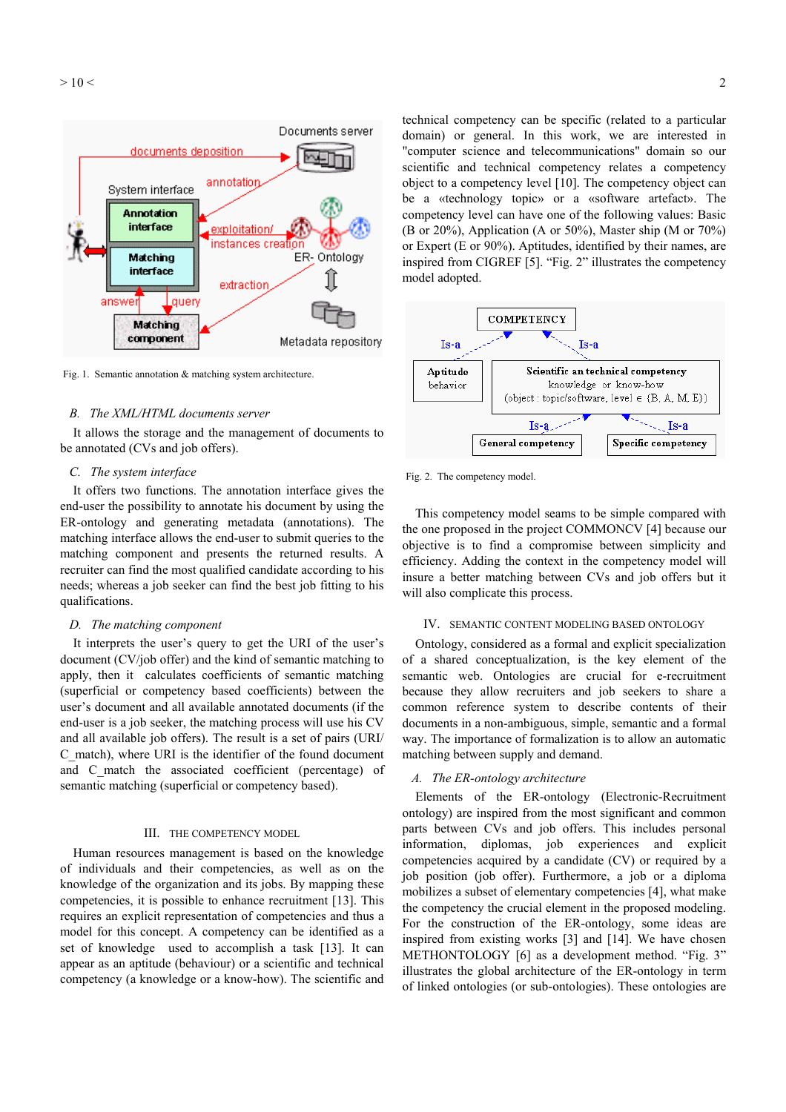

Fig. 1. Semantic annotation & matching system architecture.

#### *B. The XML/HTML documents server*

It allows the storage and the management of documents to be annotated (CVs and job offers).

## *C. The system interface*

It offers two functions. The annotation interface gives the end-user the possibility to annotate his document by using the ER-ontology and generating metadata (annotations). The matching interface allows the end-user to submit queries to the matching component and presents the returned results. A recruiter can find the most qualified candidate according to his needs; whereas a job seeker can find the best job fitting to his qualifications.

#### *D. The matching component*

It interprets the user's query to get the URI of the user's document (CV/job offer) and the kind of semantic matching to apply, then it calculates coefficients of semantic matching (superficial or competency based coefficients) between the user's document and all available annotated documents (if the end-user is a job seeker, the matching process will use his CV and all available job offers). The result is a set of pairs (URI/ C\_match), where URI is the identifier of the found document and C\_match the associated coefficient (percentage) of semantic matching (superficial or competency based).

## III. THE COMPETENCY MODEL

Human resources management is based on the knowledge of individuals and their competencies, as well as on the knowledge of the organization and its jobs. By mapping these competencies, it is possible to enhance recruitment [13]. This requires an explicit representation of competencies and thus a model for this concept. A competency can be identified as a set of knowledge used to accomplish a task [13]. It can appear as an aptitude (behaviour) or a scientific and technical competency (a knowledge or a know-how). The scientific and technical competency can be specific (related to a particular domain) or general. In this work, we are interested in "computer science and telecommunications" domain so our scientific and technical competency relates a competency object to a competency level [10]. The competency object can be a «technology topic» or a «software artefact». The competency level can have one of the following values: Basic (B or 20%), Application (A or 50%), Master ship (M or 70%) or Expert (E or 90%). Aptitudes, identified by their names, are inspired from CIGREF [5]. "Fig. 2" illustrates the competency model adopted.



Fig. 2. The competency model.

This competency model seams to be simple compared with the one proposed in the project COMMONCV [4] because our objective is to find a compromise between simplicity and efficiency. Adding the context in the competency model will insure a better matching between CVs and job offers but it will also complicate this process.

#### IV. SEMANTIC CONTENT MODELING BASED ONTOLOGY

Ontology, considered as a formal and explicit specialization of a shared conceptualization, is the key element of the semantic web. Ontologies are crucial for e-recruitment because they allow recruiters and job seekers to share a common reference system to describe contents of their documents in a non-ambiguous, simple, semantic and a formal way. The importance of formalization is to allow an automatic matching between supply and demand.

## *A. The ER-ontology architecture*

Elements of the ER-ontology (Electronic-Recruitment ontology) are inspired from the most significant and common parts between CVs and job offers. This includes personal information, diplomas, job experiences and explicit competencies acquired by a candidate (CV) or required by a job position (job offer). Furthermore, a job or a diploma mobilizes a subset of elementary competencies [4], what make the competency the crucial element in the proposed modeling. For the construction of the ER-ontology, some ideas are inspired from existing works [3] and [14]. We have chosen METHONTOLOGY [6] as a development method. "Fig. 3" illustrates the global architecture of the ER-ontology in term of linked ontologies (or sub-ontologies). These ontologies are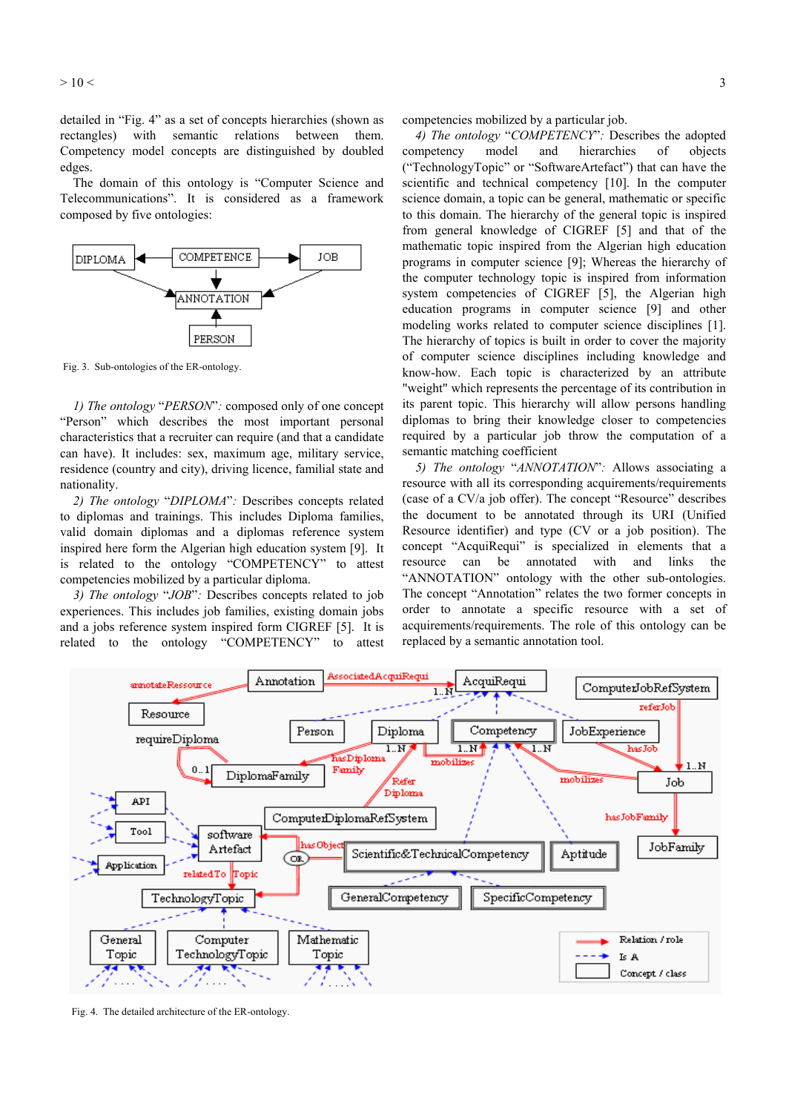$>$  10  $<$  3

detailed in "Fig. 4" as a set of concepts hierarchies (shown as rectangles) with semantic relations between them. Competency model concepts are distinguished by doubled edges.

The domain of this ontology is "Computer Science and Telecommunications". It is considered as a framework composed by five ontologies:



Fig. 3. Sub-ontologies of the ER-ontology.

*1) The ontology* "*PERSON*"*:* composed only of one concept "Person" which describes the most important personal characteristics that a recruiter can require (and that a candidate can have). It includes: sex, maximum age, military service, residence (country and city), driving licence, familial state and nationality.

*2) The ontology* "*DIPLOMA*"*:* Describes concepts related to diplomas and trainings. This includes Diploma families, valid domain diplomas and a diplomas reference system inspired here form the Algerian high education system [9]. It is related to the ontology "COMPETENCY" to attest competencies mobilized by a particular diploma.

*3) The ontology* "*JOB*"*:* Describes concepts related to job experiences. This includes job families, existing domain jobs and a jobs reference system inspired form CIGREF [5]. It is related to the ontology "COMPETENCY" to attest competencies mobilized by a particular job.

*4) The ontology* "*COMPETENCY*"*:* Describes the adopted competency model and hierarchies of objects ("TechnologyTopic" or "SoftwareArtefact") that can have the scientific and technical competency [10]. In the computer science domain, a topic can be general, mathematic or specific to this domain. The hierarchy of the general topic is inspired from general knowledge of CIGREF [5] and that of the mathematic topic inspired from the Algerian high education programs in computer science [9]; Whereas the hierarchy of the computer technology topic is inspired from information system competencies of CIGREF [5], the Algerian high education programs in computer science [9] and other modeling works related to computer science disciplines [1]. The hierarchy of topics is built in order to cover the majority of computer science disciplines including knowledge and know-how. Each topic is characterized by an attribute "weight" which represents the percentage of its contribution in its parent topic. This hierarchy will allow persons handling diplomas to bring their knowledge closer to competencies required by a particular job throw the computation of a semantic matching coefficient

*5) The ontology* "*ANNOTATION*"*:* Allows associating a resource with all its corresponding acquirements/requirements (case of a CV/a job offer). The concept "Resource" describes the document to be annotated through its URI (Unified Resource identifier) and type (CV or a job position). The concept "AcquiRequi" is specialized in elements that a resource can be annotated with and links the "ANNOTATION" ontology with the other sub-ontologies. The concept "Annotation" relates the two former concepts in order to annotate a specific resource with a set of acquirements/requirements. The role of this ontology can be replaced by a semantic annotation tool.



Fig. 4. The detailed architecture of the ER-ontology.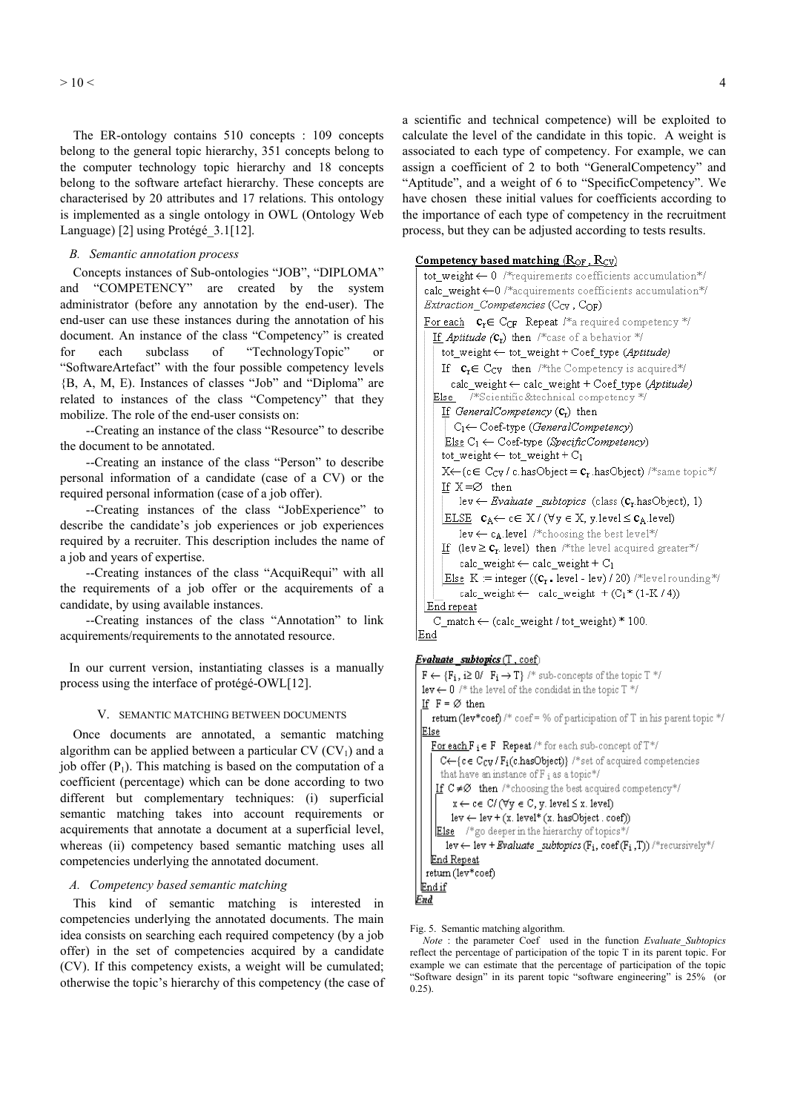The ER-ontology contains 510 concepts : 109 concepts belong to the general topic hierarchy, 351 concepts belong to the computer technology topic hierarchy and 18 concepts belong to the software artefact hierarchy. These concepts are characterised by 20 attributes and 17 relations. This ontology is implemented as a single ontology in OWL (Ontology Web Language) [2] using Protégé\_3.1[12].

## *B. Semantic annotation process*

Concepts instances of Sub-ontologies "JOB", "DIPLOMA" and "COMPETENCY" are created by the system administrator (before any annotation by the end-user). The end-user can use these instances during the annotation of his document. An instance of the class "Competency" is created for each subclass of "TechnologyTopic" or "SoftwareArtefact" with the four possible competency levels {B, A, M, E). Instances of classes "Job" and "Diploma" are related to instances of the class "Competency" that they mobilize. The role of the end-user consists on:

 --Creating an instance of the class "Resource" to describe the document to be annotated.

 --Creating an instance of the class "Person" to describe personal information of a candidate (case of a CV) or the required personal information (case of a job offer).

 --Creating instances of the class "JobExperience" to describe the candidate's job experiences or job experiences required by a recruiter. This description includes the name of a job and years of expertise.

 --Creating instances of the class "AcquiRequi" with all the requirements of a job offer or the acquirements of a candidate, by using available instances.

 --Creating instances of the class "Annotation" to link acquirements/requirements to the annotated resource.

In our current version, instantiating classes is a manually process using the interface of protégé-OWL[12].

## V. SEMANTIC MATCHING BETWEEN DOCUMENTS

Once documents are annotated, a semantic matching algorithm can be applied between a particular  $CV (CV<sub>1</sub>)$  and a job offer  $(P_1)$ . This matching is based on the computation of a coefficient (percentage) which can be done according to two different but complementary techniques: (i) superficial semantic matching takes into account requirements or acquirements that annotate a document at a superficial level, whereas (ii) competency based semantic matching uses all competencies underlying the annotated document.

#### *A. Competency based semantic matching*

This kind of semantic matching is interested in competencies underlying the annotated documents. The main idea consists on searching each required competency (by a job offer) in the set of competencies acquired by a candidate (CV). If this competency exists, a weight will be cumulated; otherwise the topic's hierarchy of this competency (the case of a scientific and technical competence) will be exploited to calculate the level of the candidate in this topic. A weight is associated to each type of competency. For example, we can assign a coefficient of 2 to both "GeneralCompetency" and "Aptitude", and a weight of 6 to "SpecificCompetency". We have chosen these initial values for coefficients according to the importance of each type of competency in the recruitment process, but they can be adjusted according to tests results.

## Competency based matching  $(R_{\rm OF}, R_{\rm CV})$

```
tot weight \leftarrow 0 /*requirements coefficients accumulation*/
 calc weight \leftarrow 0 /*acquirements coefficients accumulation*/
 Extraction_Competencies (C<sub>CV</sub>, C<sub>OF</sub>)
 For each c_r \in C_{OF} Repeat /*a required competency */
   If Aptitude (C_r) then /*case of a behavior */
      tot_weight ← tot_weight + Coef_type (Aptitude)
     If c_r \in C_{CV} then /*the Competency is acquired*/
        calc\_weight \leftarrow calc\_weight + Coef\_type (Aptitude)Else /*Scientific&technical competency */
     If GeneralCompetency (C_r) then
        C_1 \leftarrow Coef-type (General Competency)Else C_1 \leftarrow Coef-type (Specific Competency)
      tot\_weight \leftarrow tot\_weight + C_1X \leftarrow \{c \in C_{CY} / c \cdot \text{hasObject} = c_r \cdot \text{hasObject} \} / \text{``same topic''}If X = \emptyset then
          lev \leftarrow Evaluate _subtopics (class (c_r has Object), 1)
      <u>ELSE</u> c_A \leftarrow c \in X / (\forall y \in X, y. level \leq c_A. level)lev \leftarrow c<sub>A</sub>.level /*choosing the best level*/
     If (\text{lev} \geq \mathbf{C}_r \text{ level}) then /*the level acquired greater*/
          calc\_weight \leftarrow calc\_weight + C_1Else K = integer ((c_r, level - lev) / 20) /*level rounding*/
          calc_weight \leftarrow calc_weight + (C_1*(1-K/4))End repeat
   C_match \leftarrow (calc_weight / tot_weight) * 100.
End
Evaluate subtopics (T, coef)
```

```
F \leftarrow \{F_i, i \geq 0/ F_i \rightarrow T\}/* sub-concepts of the topic T */
 lev \leftarrow 0 /* the level of the condidat in the topic T */
 If F = \emptyset then
    return (lev*coef) /* coef = % of participation of T in his parent topic */
E1seFor each F_i \in F Repeat /* for each sub-concept of T^{*/}C \leftarrow \{c \in C_{CV}/F_i(c \text{.hasObject})\} /*set of acquired competencies
       that have an instance of F_i as a topic*/
     If C \neq \emptyset then /*choosing the best acquired competency*/
          x \leftarrow c \in C / (\forall y \in C, y. \text{ level} \leq x. \text{ level})lev \leftarrow lev + (x. level^*(x. hasObject.coef))Else /*go deeper in the hierarchy of topics*/
        lev \leftarrow lev + Evaluate _subtopics (F<sub>i</sub>, coef (F<sub>i</sub>,T)) /*recursively*/
    End Repeat
  return (lev*coef)
 End if
<u>End</u>
```
Fig. 5. Semantic matching algorithm.

*Note* : the parameter Coef used in the function *Evaluate\_Subtopics* reflect the percentage of participation of the topic T in its parent topic. For example we can estimate that the percentage of participation of the topic "Software design" in its parent topic "software engineering" is 25% (or 0.25).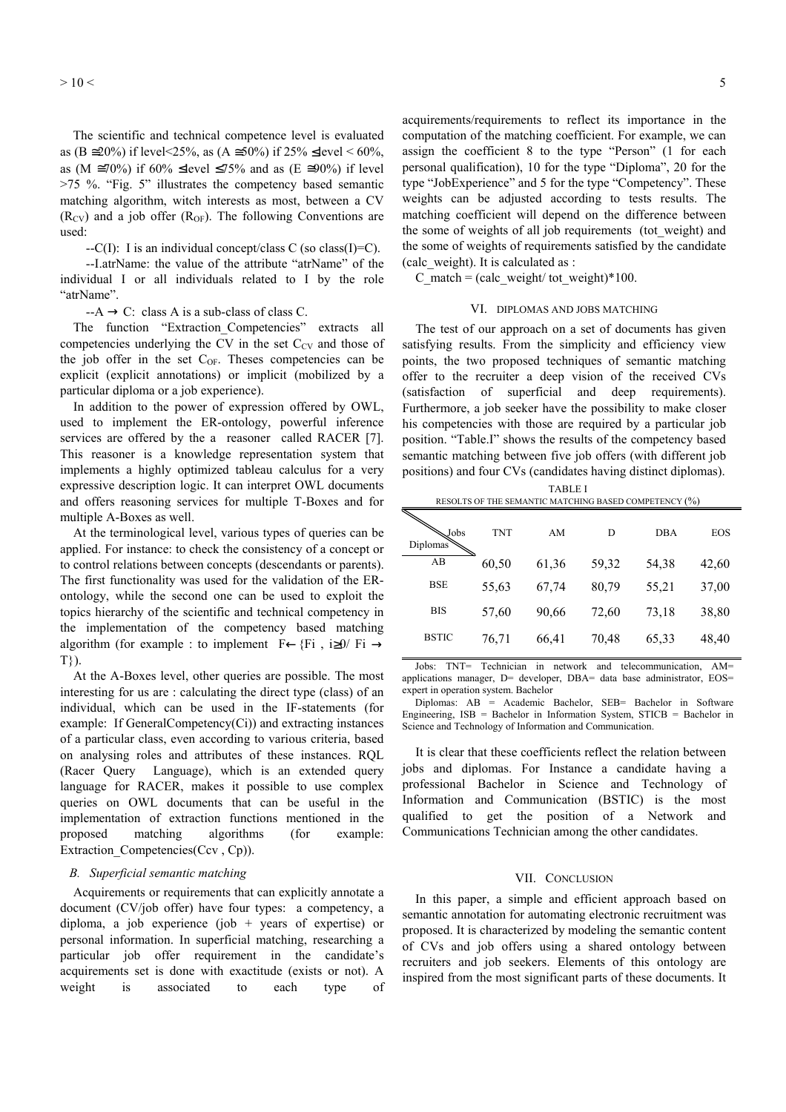The scientific and technical competence level is evaluated as (B ≅20%) if level <25%, as (A ≅50%) if 25% ≤level < 60%, as (M  $\approx$ 70%) if 60% ≤level ≤75% and as (E  $\approx$ 90%) if level >75 %. "Fig. 5" illustrates the competency based semantic matching algorithm, witch interests as most, between a CV  $(R_{CV})$  and a job offer  $(R_{OF})$ . The following Conventions are used:

 $-C(I)$ : I is an individual concept/class C (so class(I)=C).

 --I.atrName: the value of the attribute "atrName" of the individual I or all individuals related to I by the role "atrName".

 $-A \rightarrow C$ : class A is a sub-class of class C.

The function "Extraction Competencies" extracts all competencies underlying the CV in the set  $C_{CV}$  and those of the job offer in the set  $C_{OF}$ . Theses competencies can be explicit (explicit annotations) or implicit (mobilized by a particular diploma or a job experience).

In addition to the power of expression offered by OWL, used to implement the ER-ontology, powerful inference services are offered by the a reasoner called RACER [7]. This reasoner is a knowledge representation system that implements a highly optimized tableau calculus for a very expressive description logic. It can interpret OWL documents and offers reasoning services for multiple T-Boxes and for multiple A-Boxes as well.

At the terminological level, various types of queries can be applied. For instance: to check the consistency of a concept or to control relations between concepts (descendants or parents). The first functionality was used for the validation of the ERontology, while the second one can be used to exploit the topics hierarchy of the scientific and technical competency in the implementation of the competency based matching algorithm (for example : to implement F←{Fi , i≥0/ Fi  $\rightarrow$ T}).

At the A-Boxes level, other queries are possible. The most interesting for us are : calculating the direct type (class) of an individual, which can be used in the IF-statements (for example: If GeneralCompetency(Ci)) and extracting instances of a particular class, even according to various criteria, based on analysing roles and attributes of these instances. RQL (Racer Query Language), which is an extended query language for RACER, makes it possible to use complex queries on OWL documents that can be useful in the implementation of extraction functions mentioned in the proposed matching algorithms (for example: Extraction Competencies(Ccv, Cp)).

## *B. Superficial semantic matching*

Acquirements or requirements that can explicitly annotate a document (CV/job offer) have four types: a competency, a diploma, a job experience (job  $+$  years of expertise) or personal information. In superficial matching, researching a particular job offer requirement in the candidate's acquirements set is done with exactitude (exists or not). A weight is associated to each type of acquirements/requirements to reflect its importance in the computation of the matching coefficient. For example, we can assign the coefficient 8 to the type "Person" (1 for each personal qualification), 10 for the type "Diploma", 20 for the type "JobExperience" and 5 for the type "Competency". These weights can be adjusted according to tests results. The matching coefficient will depend on the difference between the some of weights of all job requirements (tot weight) and the some of weights of requirements satisfied by the candidate (calc\_weight). It is calculated as :

 $C$ \_match = (calc\_weight/ tot\_weight)\*100.

#### VI. DIPLOMAS AND JOBS MATCHING

The test of our approach on a set of documents has given satisfying results. From the simplicity and efficiency view points, the two proposed techniques of semantic matching offer to the recruiter a deep vision of the received CVs (satisfaction of superficial and deep requirements). Furthermore, a job seeker have the possibility to make closer his competencies with those are required by a particular job position. "Table.I" shows the results of the competency based semantic matching between five job offers (with different job positions) and four CVs (candidates having distinct diplomas).

| RESOLTS OF THE SEMANTIC MATCHING BASED COMPETENCY (%) |            |       |       |            |            |
|-------------------------------------------------------|------------|-------|-------|------------|------------|
| Jobs<br>Diplomas                                      | <b>TNT</b> | AM    | D     | <b>DBA</b> | <b>EOS</b> |
| AB                                                    | 60,50      | 61,36 | 59,32 | 54,38      | 42,60      |
| <b>BSE</b>                                            | 55,63      | 67,74 | 80,79 | 55,21      | 37,00      |
| <b>BIS</b>                                            | 57,60      | 90,66 | 72,60 | 73,18      | 38,80      |
| <b>BSTIC</b>                                          | 76,71      | 66,41 | 70,48 | 65,33      | 48,40      |

TABLE I

Jobs: TNT= Technician in network and telecommunication, AM= applications manager, D= developer, DBA= data base administrator, EOS= expert in operation system. Bachelor

Diplomas: AB = Academic Bachelor, SEB= Bachelor in Software Engineering, ISB = Bachelor in Information System, STICB = Bachelor in Science and Technology of Information and Communication.

It is clear that these coefficients reflect the relation between jobs and diplomas. For Instance a candidate having a professional Bachelor in Science and Technology of Information and Communication (BSTIC) is the most qualified to get the position of a Network and Communications Technician among the other candidates.

#### VII. CONCLUSION

In this paper, a simple and efficient approach based on semantic annotation for automating electronic recruitment was proposed. It is characterized by modeling the semantic content of CVs and job offers using a shared ontology between recruiters and job seekers. Elements of this ontology are inspired from the most significant parts of these documents. It